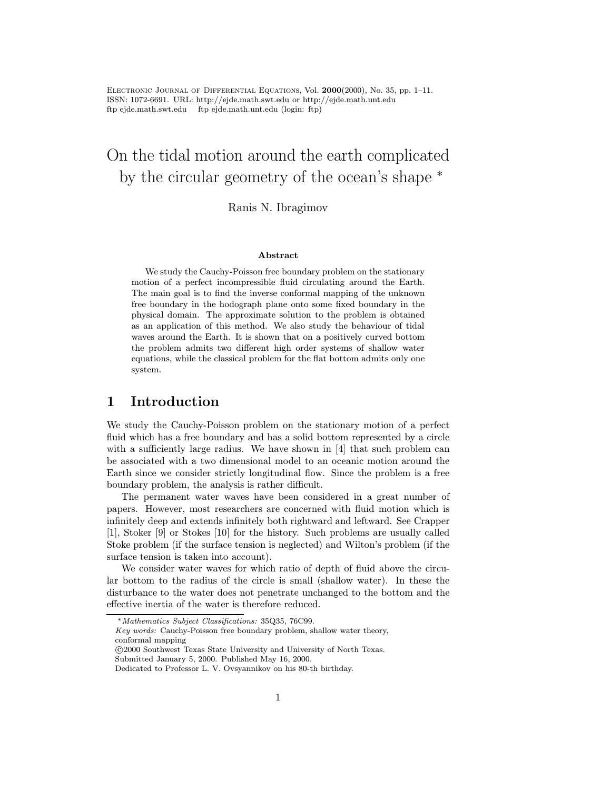Electronic Journal of Differential Equations, Vol. <sup>2000</sup>(2000), No. 35, pp. 1–11. ISSN: 1072-6691. URL: http://ejde.math.swt.edu or http://ejde.math.unt.edu ftp ejde.math.swt.edu ftp ejde.math.unt.edu (login: ftp)

# On the tidal motion around the earth complicated by the circular geometry of the ocean's shape <sup>∗</sup>

Ranis N. Ibragimov

#### Abstract

We study the Cauchy-Poisson free boundary problem on the stationary motion of a perfect incompressible fluid circulating around the Earth. The main goal is to find the inverse conformal mapping of the unknown free boundary in the hodograph plane onto some fixed boundary in the physical domain. The approximate solution to the problem is obtained as an application of this method. We also study the behaviour of tidal waves around the Earth. It is shown that on a positively curved bottom the problem admits two different high order systems of shallow water equations, while the classical problem for the flat bottom admits only one system.

## 1 Introduction

We study the Cauchy-Poisson problem on the stationary motion of a perfect fluid which has a free boundary and has a solid bottom represented by a circle with a sufficiently large radius. We have shown in [4] that such problem can be associated with a two dimensional model to an oceanic motion around the Earth since we consider strictly longitudinal flow. Since the problem is a free boundary problem, the analysis is rather difficult.

The permanent water waves have been considered in a great number of papers. However, most researchers are concerned with fluid motion which is infinitely deep and extends infinitely both rightward and leftward. See Crapper [1], Stoker [9] or Stokes [10] for the history. Such problems are usually called Stoke problem (if the surface tension is neglected) and Wilton's problem (if the surface tension is taken into account).

We consider water waves for which ratio of depth of fluid above the circular bottom to the radius of the circle is small (shallow water). In these the disturbance to the water does not penetrate unchanged to the bottom and the effective inertia of the water is therefore reduced.

Key words: Cauchy-Poisson free boundary problem, shallow water theory, conformal mapping

 c 2000 Southwest Texas State University and University of North Texas. Submitted January 5, 2000. Published May 16, 2000.

<sup>∗</sup>Mathematics Subject Classifications: 35Q35, 76C99.

Dedicated to Professor L. V. Ovsyannikov on his 80-th birthday.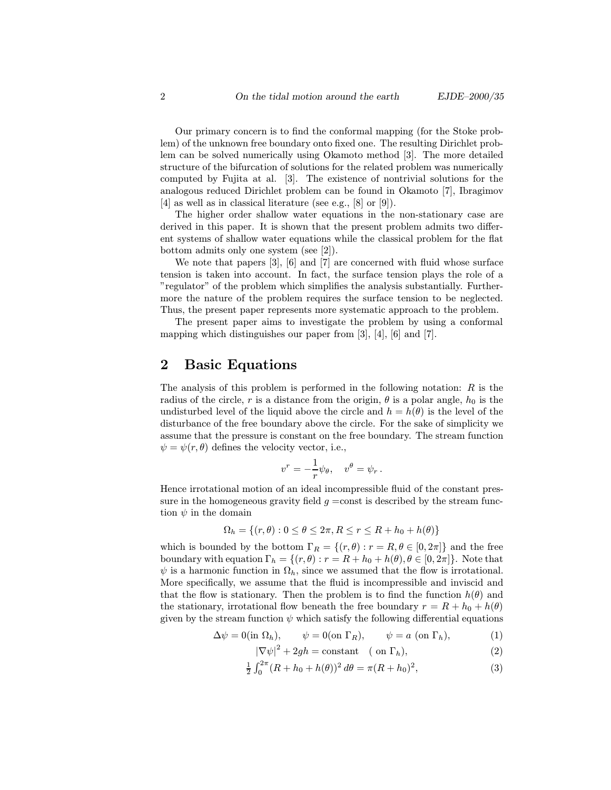Our primary concern is to find the conformal mapping (for the Stoke problem) of the unknown free boundary onto fixed one. The resulting Dirichlet problem can be solved numerically using Okamoto method [3]. The more detailed structure of the bifurcation of solutions for the related problem was numerically computed by Fujita at al. [3]. The existence of nontrivial solutions for the analogous reduced Dirichlet problem can be found in Okamoto [7], Ibragimov [4] as well as in classical literature (see e.g., [8] or [9]).

The higher order shallow water equations in the non-stationary case are derived in this paper. It is shown that the present problem admits two different systems of shallow water equations while the classical problem for the flat bottom admits only one system (see [2]).

We note that papers [3], [6] and [7] are concerned with fluid whose surface tension is taken into account. In fact, the surface tension plays the role of a "regulator" of the problem which simplifies the analysis substantially. Furthermore the nature of the problem requires the surface tension to be neglected. Thus, the present paper represents more systematic approach to the problem.

The present paper aims to investigate the problem by using a conformal mapping which distinguishes our paper from [3], [4], [6] and [7].

## 2 Basic Equations

The analysis of this problem is performed in the following notation:  $R$  is the radius of the circle, r is a distance from the origin,  $\theta$  is a polar angle,  $h_0$  is the undisturbed level of the liquid above the circle and  $h = h(\theta)$  is the level of the disturbance of the free boundary above the circle. For the sake of simplicity we assume that the pressure is constant on the free boundary. The stream function  $\psi = \psi(r, \theta)$  defines the velocity vector, i.e.,

$$
v^r = -\frac{1}{r}\psi_\theta, \quad v^\theta = \psi_r.
$$

Hence irrotational motion of an ideal incompressible fluid of the constant pressure in the homogeneous gravity field  $g = \text{const}$  is described by the stream function  $\psi$  in the domain

$$
\Omega_h = \{(r,\theta): 0 \le \theta \le 2\pi, R \le r \le R + h_0 + h(\theta)\}
$$

which is bounded by the bottom  $\Gamma_R = \{(r, \theta) : r = R, \theta \in [0, 2\pi]\}\$ and the free boundary with equation  $\Gamma_h = \{(r, \theta) : r = R + h_0 + h(\theta), \theta \in [0, 2\pi]\}\.$  Note that  $\psi$  is a harmonic function in  $\Omega_h$ , since we assumed that the flow is irrotational. More specifically, we assume that the fluid is incompressible and inviscid and that the flow is stationary. Then the problem is to find the function  $h(\theta)$  and the stationary, irrotational flow beneath the free boundary  $r = R + h_0 + h(\theta)$ given by the stream function  $\psi$  which satisfy the following differential equations

$$
\Delta \psi = 0(\text{in } \Omega_h), \qquad \psi = 0(\text{on } \Gamma_R), \qquad \psi = a \text{ (on } \Gamma_h), \tag{1}
$$

$$
|\nabla \psi|^2 + 2gh = \text{constant} \quad (\text{on } \Gamma_h),\tag{2}
$$

$$
\frac{1}{2} \int_0^{2\pi} (R + h_0 + h(\theta))^2 d\theta = \pi (R + h_0)^2,
$$
\n(3)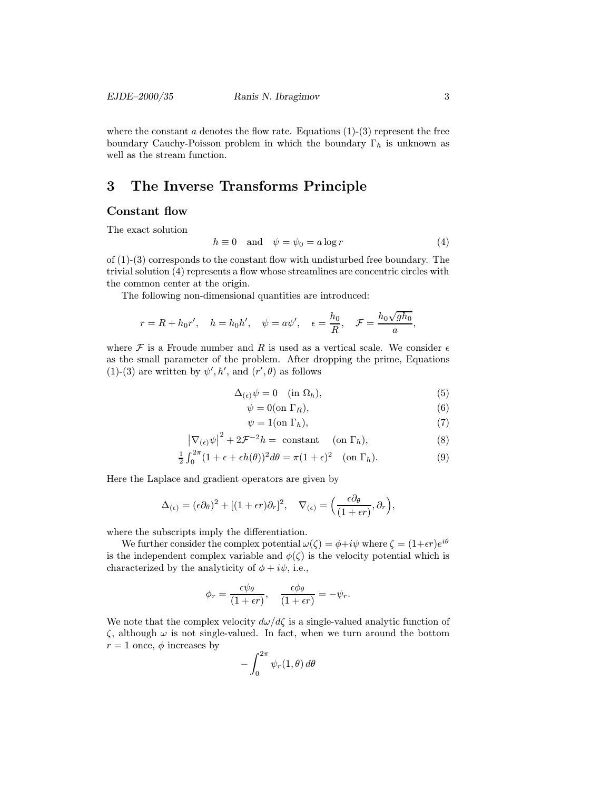where the constant  $\alpha$  denotes the flow rate. Equations (1)-(3) represent the free boundary Cauchy-Poisson problem in which the boundary  $\Gamma_h$  is unknown as well as the stream function.

## 3 The Inverse Transforms Principle

#### Constant flow

The exact solution

$$
h \equiv 0 \quad \text{and} \quad \psi = \psi_0 = a \log r \tag{4}
$$

of  $(1)-(3)$  corresponds to the constant flow with undisturbed free boundary. The trivial solution (4) represents a flow whose streamlines are concentric circles with the common center at the origin.

The following non-dimensional quantities are introduced:

$$
r = R + h_0 r'
$$
,  $h = h_0 h'$ ,  $\psi = a \psi'$ ,  $\epsilon = \frac{h_0}{R}$ ,  $\mathcal{F} = \frac{h_0 \sqrt{gh_0}}{a}$ ,

where  $\mathcal F$  is a Froude number and R is used as a vertical scale. We consider  $\epsilon$ as the small parameter of the problem. After dropping the prime, Equations (1)-(3) are written by  $\psi', h'$ , and  $(r', \theta)$  as follows

$$
\Delta_{(\epsilon)}\psi = 0 \quad (\text{in } \Omega_h),\tag{5}
$$

$$
\psi = 0 \text{(on } \Gamma_R),\tag{6}
$$

$$
\psi = 1(\text{on } \Gamma_h),\tag{7}
$$

$$
\left|\nabla_{(\epsilon)}\psi\right|^2 + 2\mathcal{F}^{-2}h = \text{ constant} \quad (\text{on } \Gamma_h),\tag{8}
$$

$$
\frac{1}{2} \int_0^{2\pi} (1 + \epsilon + \epsilon h(\theta))^2 d\theta = \pi (1 + \epsilon)^2 \quad \text{(on } \Gamma_h\text{)}.
$$
 (9)

Here the Laplace and gradient operators are given by

$$
\Delta_{(\epsilon)} = (\epsilon \partial_{\theta})^2 + [(1 + \epsilon r) \partial_r]^2, \quad \nabla_{(\epsilon)} = \left(\frac{\epsilon \partial_{\theta}}{(1 + \epsilon r)}, \partial_r\right),
$$

where the subscripts imply the differentiation.

We further consider the complex potential  $\omega(\zeta) = \phi + i\psi$  where  $\zeta = (1+\epsilon r)e^{i\theta}$ is the independent complex variable and  $\phi(\zeta)$  is the velocity potential which is characterized by the analyticity of  $\phi + i\psi$ , i.e.,

$$
\phi_r = \frac{\epsilon \psi_\theta}{(1+\epsilon r)}, \quad \frac{\epsilon \phi_\theta}{(1+\epsilon r)} = -\psi_r.
$$

We note that the complex velocity  $d\omega/d\zeta$  is a single-valued analytic function of  $\zeta$ , although  $\omega$  is not single-valued. In fact, when we turn around the bottom  $r = 1$  once,  $\phi$  increases by

$$
-\int_0^{2\pi} \psi_r(1,\theta)\,d\theta
$$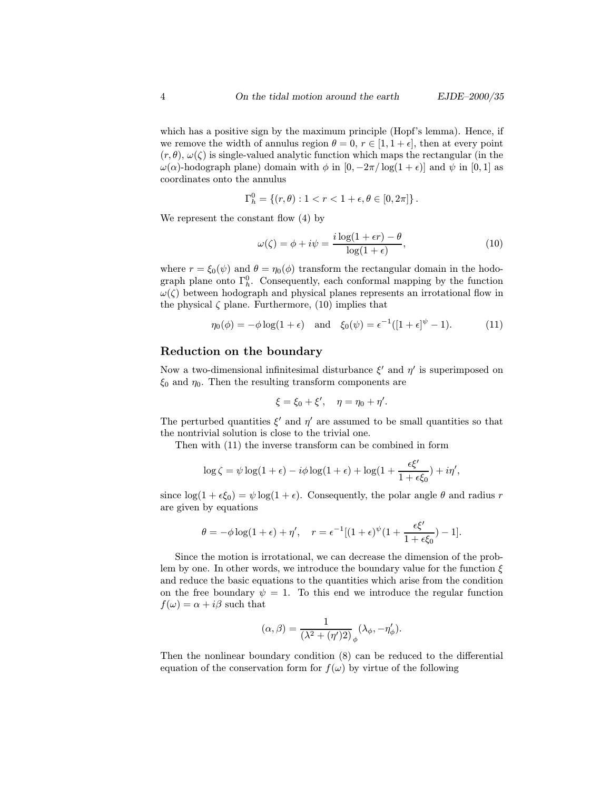which has a positive sign by the maximum principle (Hopf's lemma). Hence, if we remove the width of annulus region  $\theta = 0, r \in [1, 1 + \epsilon]$ , then at every point  $(r, \theta), \omega(\zeta)$  is single-valued analytic function which maps the rectangular (in the  $ω(α)$ -hodograph plane) domain with  $φ$  in  $[0, -2π/\log(1+ε)]$  and  $ψ$  in  $[0, 1]$  as coordinates onto the annulus

$$
\Gamma_h^0 = \{(r,\theta): 1 < r < 1 + \epsilon, \theta \in [0,2\pi] \}.
$$

We represent the constant flow (4) by

$$
\omega(\zeta) = \phi + i\psi = \frac{i\log(1+\epsilon r) - \theta}{\log(1+\epsilon)},\tag{10}
$$

where  $r = \xi_0(\psi)$  and  $\theta = \eta_0(\phi)$  transform the rectangular domain in the hodograph plane onto  $\Gamma_h^0$ . Consequently, each conformal mapping by the function  $\mathcal{L}(\mathcal{L})$  between hodograph and physical planes represents an irretational flow in  $\omega(\zeta)$  between hodograph and physical planes represents an irrotational flow in the physical  $\zeta$  plane. Furthermore, (10) implies that

$$
\eta_0(\phi) = -\phi \log(1 + \epsilon)
$$
 and  $\xi_0(\psi) = \epsilon^{-1}([1 + \epsilon]^{\psi} - 1).$  (11)

#### Reduction on the boundary

Now a two-dimensional infinitesimal disturbance  $\xi'$  and  $\eta'$  is superimposed on  $\xi_0$  and  $\eta_0$ . Then the resulting transform components are

$$
\xi = \xi_0 + \xi', \quad \eta = \eta_0 + \eta'.
$$

The perturbed quantities  $\xi'$  and  $\eta'$  are assumed to be small quantities so that the nontrivial solution is close to the trivial one.

Then with (11) the inverse transform can be combined in form

$$
\log \zeta = \psi \log(1+\epsilon) - i\phi \log(1+\epsilon) + \log(1+\frac{\epsilon \xi'}{1+\epsilon \xi_0}) + i\eta',
$$

since  $\log(1 + \epsilon \xi_0) = \psi \log(1 + \epsilon)$ . Consequently, the polar angle  $\theta$  and radius r are given by equations

$$
\theta = -\phi \log(1+\epsilon) + \eta', \quad r = \epsilon^{-1}[(1+\epsilon)^{\psi}(1+\frac{\epsilon \xi'}{1+\epsilon \xi_0})-1].
$$

Since the motion is irrotational, we can decrease the dimension of the problem by one. In other words, we introduce the boundary value for the function  $\xi$ and reduce the basic equations to the quantities which arise from the condition on the free boundary  $\psi = 1$ . To this end we introduce the regular function  $f(\omega) = \alpha + i\beta$  such that

$$
(\alpha,\beta) = \frac{1}{(\lambda^2 + (\eta')2)} \int_{\phi} (\lambda_{\phi}, -\eta'_{\phi}).
$$

Then the nonlinear boundary condition (8) can be reduced to the differential equation of the conservation form for  $f(\omega)$  by virtue of the following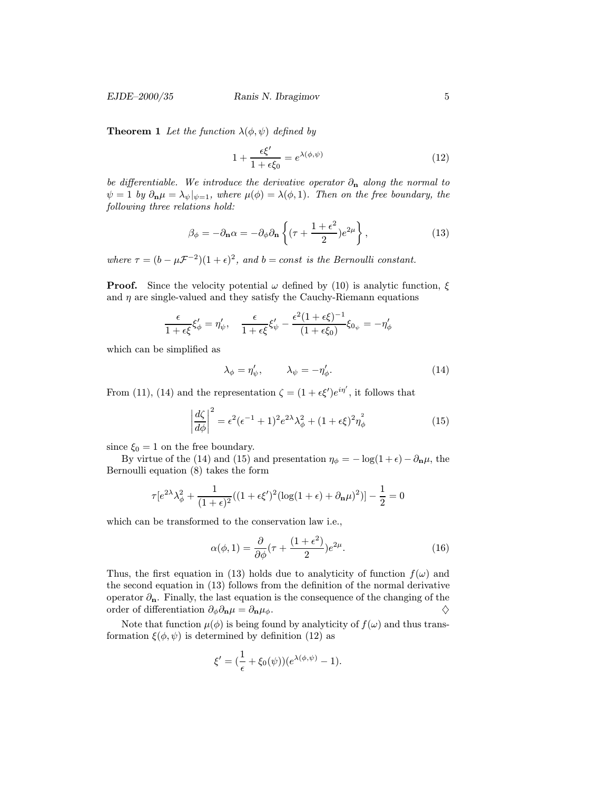**Theorem 1** Let the function  $\lambda(\phi, \psi)$  defined by

$$
1 + \frac{\epsilon \xi'}{1 + \epsilon \xi_0} = e^{\lambda(\phi, \psi)} \tag{12}
$$

be differentiable. We introduce the derivative operator  $\partial_{\bf n}$  along the normal to  $\psi = 1$  by  $\partial_{\mathbf{n}} \mu = \lambda_{\psi}|_{\psi=1}$ , where  $\mu(\phi) = \lambda(\phi, 1)$ . Then on the free boundary, the following three relations hold:

$$
\beta_{\phi} = -\partial_{\mathbf{n}}\alpha = -\partial_{\phi}\partial_{\mathbf{n}}\left\{ (\tau + \frac{1+\epsilon^2}{2})e^{2\mu} \right\},\tag{13}
$$

where  $\tau = (b - \mu \mathcal{F}^{-2})(1 + \epsilon)^2$ , and  $b = const$  is the Bernoulli constant.

**Proof.** Since the velocity potential  $\omega$  defined by (10) is analytic function,  $\xi$ and  $\eta$  are single-valued and they satisfy the Cauchy-Riemann equations

$$
\frac{\epsilon}{1+\epsilon\xi}\xi_{\phi}' = \eta_{\psi}', \quad \frac{\epsilon}{1+\epsilon\xi}\xi_{\psi}' - \frac{\epsilon^2(1+\epsilon\xi)^{-1}}{(1+\epsilon\xi_0)}\xi_{0\psi} = -\eta_{\phi}'
$$

which can be simplified as

$$
\lambda_{\phi} = \eta_{\psi}', \qquad \lambda_{\psi} = -\eta_{\phi}'. \tag{14}
$$

From (11), (14) and the representation  $\zeta = (1 + \epsilon \xi')e^{i\eta'}$ , it follows that

$$
\left|\frac{d\zeta}{d\phi}\right|^2 = \epsilon^2(\epsilon^{-1} + 1)^2 e^{2\lambda} \lambda_{\phi}^2 + (1 + \epsilon \xi)^2 \eta_{\phi}^2 \tag{15}
$$

since  $\xi_0 = 1$  on the free boundary.

By virtue of the (14) and (15) and presentation  $\eta_{\phi} = -\log(1+\epsilon) - \partial_{\mathbf{n}}\mu$ , the Bernoulli equation (8) takes the form

$$
\tau[e^{2\lambda}\lambda_{\phi}^2 + \frac{1}{(1+\epsilon)^2}((1+\epsilon\xi')^2(\log(1+\epsilon) + \partial_{\mathbf{n}}\mu)^2)] - \frac{1}{2} = 0
$$

which can be transformed to the conservation law i.e.,

$$
\alpha(\phi, 1) = \frac{\partial}{\partial \phi} (\tau + \frac{(1 + \epsilon^2)}{2}) e^{2\mu}.
$$
 (16)

Thus, the first equation in (13) holds due to analyticity of function  $f(\omega)$  and the second equation in (13) follows from the definition of the normal derivative operator  $\partial_{\mathbf{n}}$ . Finally, the last equation is the consequence of the changing of the order of differentiation  $\partial_{\phi} \partial_{\mathbf{n}} \mu = \partial_{\mathbf{n}} \mu_{\phi}$ .

Note that function  $\mu(\phi)$  is being found by analyticity of  $f(\omega)$  and thus transformation  $\xi(\phi, \psi)$  is determined by definition (12) as

$$
\xi' = (\frac{1}{\epsilon} + \xi_0(\psi))(e^{\lambda(\phi,\psi)} - 1).
$$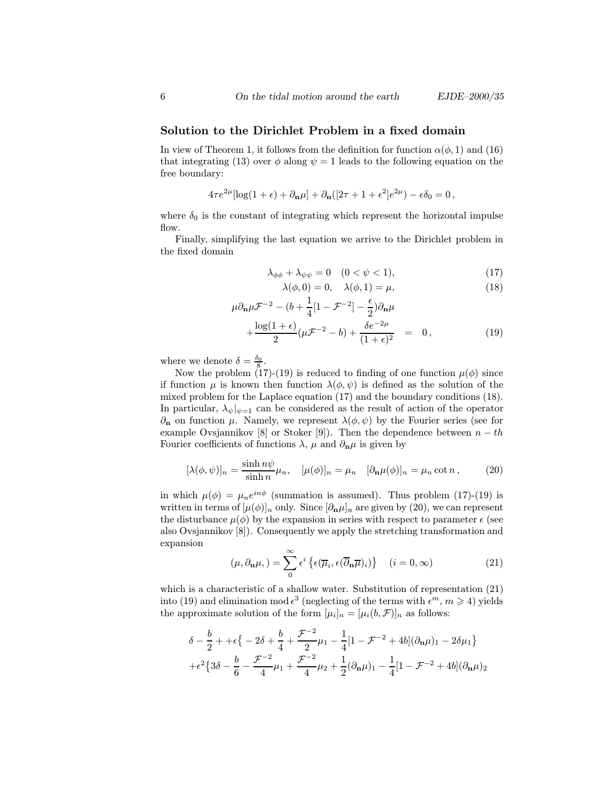#### Solution to the Dirichlet Problem in a fixed domain

In view of Theorem 1, it follows from the definition for function  $\alpha(\phi, 1)$  and (16) that integrating (13) over  $\phi$  along  $\psi = 1$  leads to the following equation on the free boundary:

$$
4\tau e^{2\mu}[\log(1+\epsilon)+\partial_{\mathbf{n}}\mu]+\partial_{\mathbf{n}}([2\tau+1+\epsilon^2]e^{2\mu})-\epsilon\delta_0=0\,,
$$

where  $\delta_0$  is the constant of integrating which represent the horizontal impulse flow.

Finally, simplifying the last equation we arrive to the Dirichlet problem in the fixed domain

$$
\lambda_{\phi\phi} + \lambda_{\psi\psi} = 0 \quad (0 < \psi < 1),\tag{17}
$$

$$
\lambda(\phi,0) = 0, \quad \lambda(\phi,1) = \mu,\tag{18}
$$

$$
\mu \partial_{\mathbf{n}} \mu \mathcal{F}^{-2} - (b + \frac{1}{4} [1 - \mathcal{F}^{-2}] - \frac{\epsilon}{2}) \partial_{\mathbf{n}} \mu
$$

$$
+\frac{\log(1+\epsilon)}{2}(\mu \mathcal{F}^{-2}-b)+\frac{\delta e^{-2\mu}}{(1+\epsilon)^2} = 0, \qquad (19)
$$

where we denote  $\delta = \frac{\delta_0}{8}$ .

Now the problem (17)-(19) is reduced to finding of one function  $\mu(\phi)$  since if function  $\mu$  is known then function  $\lambda(\phi, \psi)$  is defined as the solution of the mixed problem for the Laplace equation (17) and the boundary conditions (18). In particular,  $\lambda_{\psi}|_{\psi=1}$  can be considered as the result of action of the operator  $∂<sub>n</sub>$  on function μ. Namely, we represent  $λ(φ, ψ)$  by the Fourier series (see for example Ovsjannikov [8] or Stoker [9]). Then the dependence between  $n - th$ Fourier coefficients of functions  $\lambda$ ,  $\mu$  and  $\partial_{\mathbf{n}}\mu$  is given by

$$
[\lambda(\phi,\psi)]_n = \frac{\sinh n\psi}{\sinh n}\mu_n, \quad [\mu(\phi)]_n = \mu_n \quad [\partial_\mathbf{n}\mu(\phi)]_n = \mu_n \cot n, \quad (20)
$$

in which  $\mu(\phi) = \mu_n e^{in\phi}$  (summation is assumed). Thus problem (17)-(19) is written in terms of  $[\mu(\phi)]_n$  only. Since  $[\partial_{\bf n}\mu]_n$  are given by (20), we can represent the disturbance  $\mu(\phi)$  by the expansion in series with respect to parameter  $\epsilon$  (see also Ovsjannikov [8]). Consequently we apply the stretching transformation and expansion

$$
(\mu, \partial_{\mathbf{n}}\mu, ) = \sum_{0}^{\infty} \epsilon^{i} \left\{ \epsilon(\overline{\mu}_{i}, \epsilon(\overline{\partial}_{\mathbf{n}}\overline{\mu})_{i}) \right\} \quad (i = 0, \infty)
$$
 (21)

which is a characteristic of a shallow water. Substitution of representation (21) into (19) and elimination mod  $\epsilon^3$  (neglecting of the terms with  $\epsilon^m$ ,  $m \ge 4$ ) yields the approximate solution of the form  $[\mu_i]_n = [\mu_i(b, \mathcal{F})]_n$  as follows:

$$
\delta - \frac{b}{2} + + \epsilon \left\{ -2\delta + \frac{b}{4} + \frac{\mathcal{F}^{-2}}{2}\mu_1 - \frac{1}{4}\left[1 - \mathcal{F}^{-2} + 4b\right](\partial_{\mathbf{n}}\mu)_1 - 2\delta\mu_1 \right\}
$$

$$
+ \epsilon^2 \left\{ 3\delta - \frac{b}{6} - \frac{\mathcal{F}^{-2}}{4}\mu_1 + \frac{\mathcal{F}^{-2}}{4}\mu_2 + \frac{1}{2}(\partial_{\mathbf{n}}\mu)_1 - \frac{1}{4}\left[1 - \mathcal{F}^{-2} + 4b\right](\partial_{\mathbf{n}}\mu)_2 \right\}
$$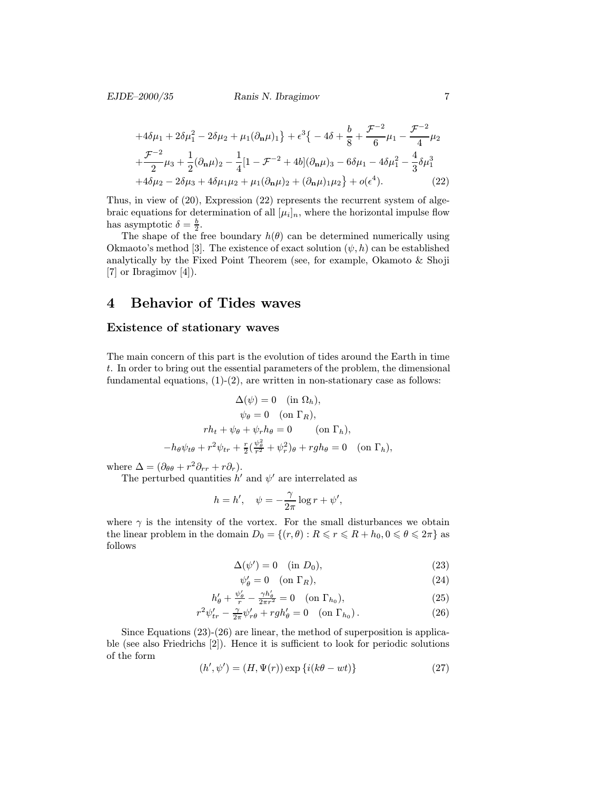#### EJDE–2000/35 Ranis N. Ibragimov 7

$$
+4\delta\mu_{1} + 2\delta\mu_{1}^{2} - 2\delta\mu_{2} + \mu_{1}(\partial_{\mathbf{n}}\mu)_{1}\} + \epsilon^{3}\{-4\delta + \frac{b}{8} + \frac{\mathcal{F}^{-2}}{6}\mu_{1} - \frac{\mathcal{F}^{-2}}{4}\mu_{2}\n+ \frac{\mathcal{F}^{-2}}{2}\mu_{3} + \frac{1}{2}(\partial_{\mathbf{n}}\mu)_{2} - \frac{1}{4}[1 - \mathcal{F}^{-2} + 4b](\partial_{\mathbf{n}}\mu)_{3} - 6\delta\mu_{1} - 4\delta\mu_{1}^{2} - \frac{4}{3}\delta\mu_{1}^{3}\n+ 4\delta\mu_{2} - 2\delta\mu_{3} + 4\delta\mu_{1}\mu_{2} + \mu_{1}(\partial_{\mathbf{n}}\mu)_{2} + (\partial_{\mathbf{n}}\mu)_{1}\mu_{2}\} + o(\epsilon^{4}).
$$
\n(22)

Thus, in view of (20), Expression (22) represents the recurrent system of algebraic equations for determination of all  $[\mu_i]_n$ , where the horizontal impulse flow has asymptotic  $\delta = \frac{b}{2}$ .

The shape of the free boundary  $h(\theta)$  can be determined numerically using Okmaoto's method [3]. The existence of exact solution  $(\psi, h)$  can be established analytically by the Fixed Point Theorem (see, for example, Okamoto & Shoji [7] or Ibragimov [4]).

## 4 Behavior of Tides waves

#### Existence of stationary waves

The main concern of this part is the evolution of tides around the Earth in time t. In order to bring out the essential parameters of the problem, the dimensional fundamental equations,  $(1)-(2)$ , are written in non-stationary case as follows:

$$
\Delta(\psi) = 0 \quad (\text{in } \Omega_h),
$$
  
\n
$$
\psi_{\theta} = 0 \quad (\text{on } \Gamma_R),
$$
  
\n
$$
rh_t + \psi_{\theta} + \psi_r h_{\theta} = 0 \quad (\text{on } \Gamma_h),
$$
  
\n
$$
-h_{\theta} \psi_{t\theta} + r^2 \psi_{tr} + \frac{r}{2} (\frac{\psi_{\theta}^2}{r^2} + \psi_r^2)_{\theta} + rgh_{\theta} = 0 \quad (\text{on } \Gamma_h),
$$

where  $\Delta = (\partial_{\theta\theta} + r^2 \partial_{rr} + r \partial_r).$ 

The perturbed quantities  $h'$  and  $\psi'$  are interrelated as

$$
h = h', \quad \psi = -\frac{\gamma}{2\pi} \log r + \psi',
$$

where  $\gamma$  is the intensity of the vortex. For the small disturbances we obtain the linear problem in the domain  $D_0 = \{(r, \theta) : R \leq r \leq R + h_0, 0 \leq \theta \leq 2\pi\}$  as follows

$$
\Delta(\psi') = 0 \quad (\text{in } D_0), \tag{23}
$$

$$
\psi'_{\theta} = 0 \quad \text{(on } \Gamma_R), \tag{24}
$$

$$
h'_{\theta} + \frac{\psi'_{\theta}}{r} - \frac{\gamma h'_{\theta}}{2\pi r^2} = 0 \quad (\text{on } \Gamma_{h_0}),\tag{25}
$$

$$
r^2 \psi'_{tr} - \frac{\gamma}{2\pi} \psi'_{r\theta} + rgh'_{\theta} = 0 \quad (\text{on } \Gamma_{h_0}).
$$
 (26)

Since Equations (23)-(26) are linear, the method of superposition is applicable (see also Friedrichs [2]). Hence it is sufficient to look for periodic solutions of the form

$$
(h', \psi') = (H, \Psi(r)) \exp \{i(k\theta - wt)\}\tag{27}
$$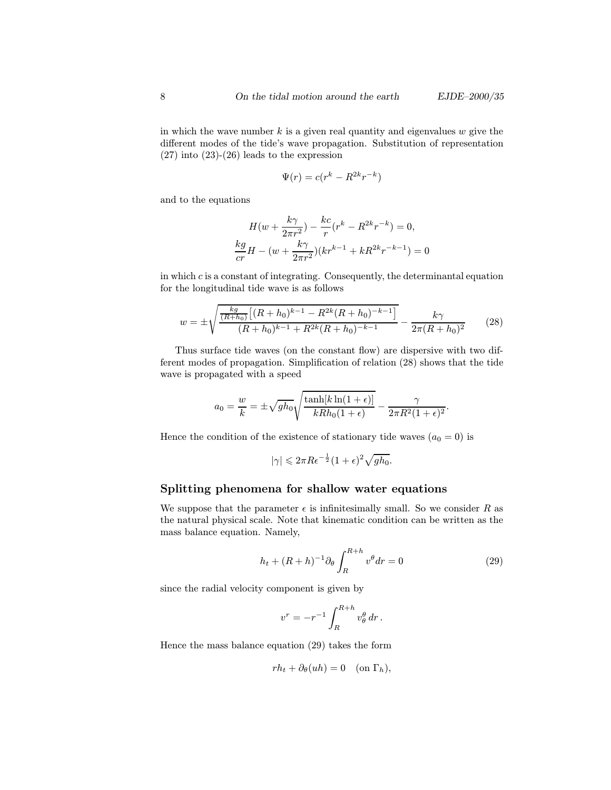in which the wave number  $k$  is a given real quantity and eigenvalues  $w$  give the different modes of the tide's wave propagation. Substitution of representation  $(27)$  into  $(23)-(26)$  leads to the expression

$$
\Psi(r) = c(r^k - R^{2k}r^{-k})
$$

and to the equations

$$
H(w + \frac{k\gamma}{2\pi r^2}) - \frac{kc}{r}(r^k - R^{2k}r^{-k}) = 0,
$$
  

$$
\frac{kg}{cr}H - (w + \frac{k\gamma}{2\pi r^2})(kr^{k-1} + kR^{2k}r^{-k-1}) = 0
$$

in which  $c$  is a constant of integrating. Consequently, the determinantal equation for the longitudinal tide wave is as follows

$$
w = \pm \sqrt{\frac{\frac{kg}{(R+h_0)}[(R+h_0)^{k-1} - R^{2k}(R+h_0)^{-k-1}]}{(R+h_0)^{k-1} + R^{2k}(R+h_0)^{-k-1}}} - \frac{k\gamma}{2\pi (R+h_0)^2}
$$
(28)

Thus surface tide waves (on the constant flow) are dispersive with two different modes of propagation. Simplification of relation (28) shows that the tide wave is propagated with a speed

$$
a_0 = \frac{w}{k} = \pm \sqrt{gh_0} \sqrt{\frac{\tanh[k \ln(1+\epsilon)]}{kRh_0(1+\epsilon)}} - \frac{\gamma}{2\pi R^2 (1+\epsilon)^2}.
$$

Hence the condition of the existence of stationary tide waves  $(a_0 = 0)$  is

$$
|\gamma| \leqslant 2\pi R\epsilon^{-\frac{1}{2}}(1+\epsilon)^2\sqrt{gh_0}.
$$

#### Splitting phenomena for shallow water equations

We suppose that the parameter  $\epsilon$  is infinitesimally small. So we consider R as the natural physical scale. Note that kinematic condition can be written as the mass balance equation. Namely,

$$
h_t + (R+h)^{-1} \partial_\theta \int_R^{R+h} v^\theta dr = 0 \tag{29}
$$

since the radial velocity component is given by

$$
v^r = -r^{-1} \int_R^{R+h} v_\theta^\theta \, dr \, .
$$

Hence the mass balance equation (29) takes the form

$$
r h_t + \partial_\theta (uh) = 0 \quad \text{(on } \Gamma_h),
$$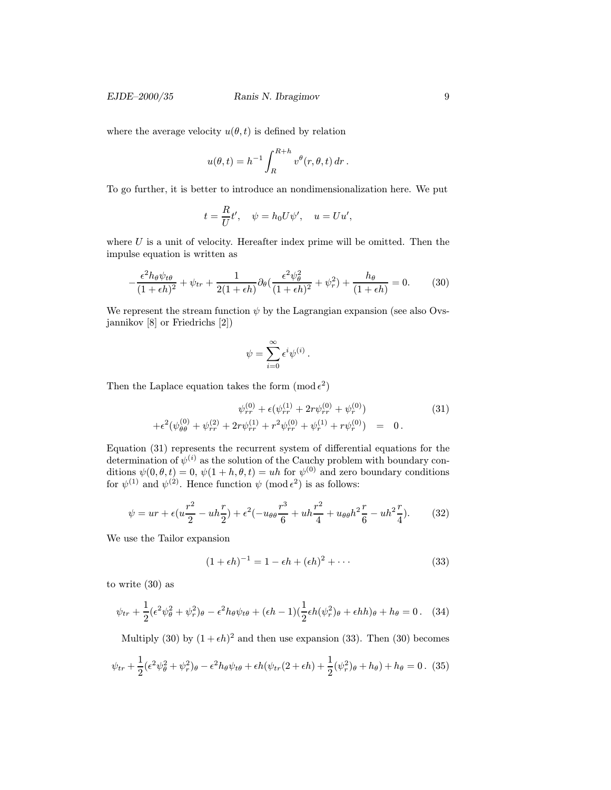where the average velocity  $u(\theta, t)$  is defined by relation

$$
u(\theta, t) = h^{-1} \int_R^{R+h} v^{\theta}(r, \theta, t) dr.
$$

To go further, it is better to introduce an nondimensionalization here. We put

$$
t = \frac{R}{U}t', \quad \psi = h_0 U \psi', \quad u = U u',
$$

where  $U$  is a unit of velocity. Hereafter index prime will be omitted. Then the impulse equation is written as

$$
-\frac{\epsilon^2 h_\theta \psi_{t\theta}}{(1+\epsilon h)^2} + \psi_{tr} + \frac{1}{2(1+\epsilon h)} \partial_\theta \left(\frac{\epsilon^2 \psi_\theta^2}{(1+\epsilon h)^2} + \psi_r^2\right) + \frac{h_\theta}{(1+\epsilon h)} = 0. \tag{30}
$$

We represent the stream function  $\psi$  by the Lagrangian expansion (see also Ovsjannikov [8] or Friedrichs [2])

$$
\psi = \sum_{i=0}^{\infty} \epsilon^i \psi^{(i)}.
$$

Then the Laplace equation takes the form  $(\text{mod } \epsilon^2)$ 

$$
\psi_{rr}^{(0)} + \epsilon (\psi_{rr}^{(1)} + 2r\psi_{rr}^{(0)} + \psi_r^{(0)}) + \epsilon^2 (\psi_{\theta\theta}^{(0)} + \psi_{rr}^{(2)} + 2r\psi_{rr}^{(1)} + r^2\psi_{rr}^{(0)} + \psi_r^{(1)} + r\psi_r^{(0)}) = 0.
$$
\n(31)

Equation (31) represents the recurrent system of differential equations for the determination of  $\psi^{(i)}$  as the solution of the Cauchy problem with boundary conditions  $\psi(0, \theta, t) = 0$ ,  $\psi(1 + h, \theta, t) = uh$  for  $\psi^{(0)}$  and zero boundary conditions for  $\psi^{(1)}$  and  $\psi^{(2)}$ . Hence function  $\psi$  (mod  $\epsilon^2$ ) is as follows:

$$
\psi = ur + \epsilon (u\frac{r^2}{2} - uh\frac{r}{2}) + \epsilon^2 (-u_{\theta\theta}\frac{r^3}{6} + uh\frac{r^2}{4} + u_{\theta\theta}h^2\frac{r}{6} - uh^2\frac{r}{4}).
$$
 (32)

We use the Tailor expansion

$$
(1 + \epsilon h)^{-1} = 1 - \epsilon h + (\epsilon h)^2 + \cdots
$$
 (33)

to write (30) as

$$
\psi_{tr} + \frac{1}{2} (\epsilon^2 \psi_\theta^2 + \psi_r^2)_{\theta} - \epsilon^2 h_{\theta} \psi_{t\theta} + (\epsilon h - 1) (\frac{1}{2} \epsilon h (\psi_r^2)_{\theta} + \epsilon h h)_{\theta} + h_{\theta} = 0. \quad (34)
$$

Multiply (30) by  $(1 + \epsilon h)^2$  and then use expansion (33). Then (30) becomes

$$
\psi_{tr} + \frac{1}{2} (\epsilon^2 \psi_\theta^2 + \psi_r^2)_{\theta} - \epsilon^2 h_{\theta} \psi_{t\theta} + \epsilon h (\psi_{tr}(2 + \epsilon h) + \frac{1}{2} (\psi_r^2)_{\theta} + h_{\theta}) + h_{\theta} = 0. \tag{35}
$$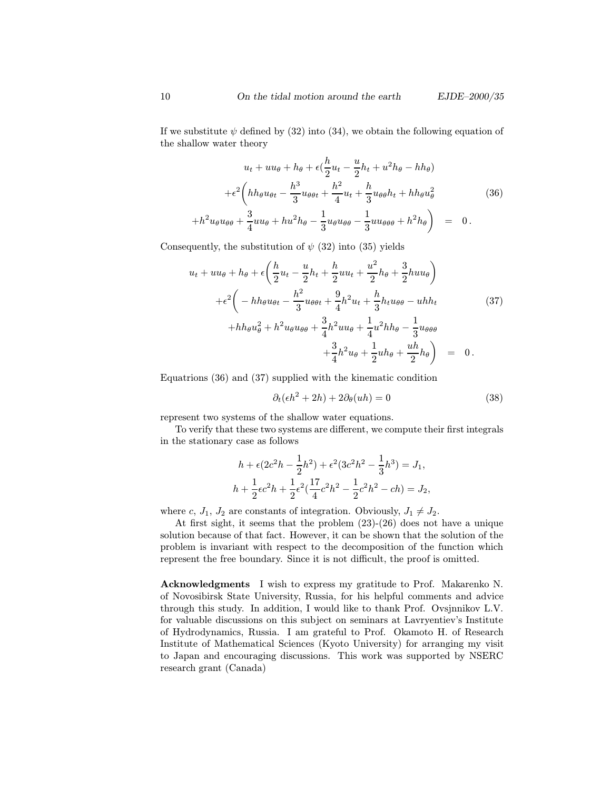If we substitute  $\psi$  defined by (32) into (34), we obtain the following equation of the shallow water theory

$$
u_t + uu_\theta + h_\theta + \epsilon \left(\frac{h}{2}u_t - \frac{u}{2}h_t + u^2h_\theta - hh_\theta\right)
$$

$$
+ \epsilon^2 \left(hh_\theta u_{\theta t} - \frac{h^3}{3}u_{\theta\theta t} + \frac{h^2}{4}u_t + \frac{h}{3}u_{\theta\theta}h_t + hh_\theta u_\theta^2 + h^2 u_\theta u_{\theta\theta} + \frac{3}{4}uu_\theta + hu^2h_\theta - \frac{1}{3}u_\theta u_{\theta\theta} - \frac{1}{3}uu_{\theta\theta\theta} + h^2h_\theta\right) = 0.
$$
 (36)

Consequently, the substitution of  $\psi$  (32) into (35) yields

$$
u_{t} + uu_{\theta} + \epsilon \left( \frac{h}{2} u_{t} - \frac{u}{2} h_{t} + \frac{h}{2} uu_{t} + \frac{u^{2}}{2} h_{\theta} + \frac{3}{2} h u u_{\theta} \right) + \epsilon^{2} \left( - h h_{\theta} u_{\theta t} - \frac{h^{2}}{3} u_{\theta} \theta t + \frac{9}{4} h^{2} u_{t} + \frac{h}{3} h_{t} u_{\theta} \theta - u h h_{t} \right) + h h_{\theta} u_{\theta}^{2} + h^{2} u_{\theta} u_{\theta} \theta + \frac{3}{4} h^{2} u u_{\theta} + \frac{1}{4} u^{2} h h_{\theta} - \frac{1}{3} u_{\theta} \theta \theta + \frac{3}{4} h^{2} u_{\theta} + \frac{1}{2} u h_{\theta} + \frac{u h}{2} h_{\theta} \right) = 0.
$$

Equatrions (36) and (37) supplied with the kinematic condition

$$
\partial_t(\epsilon h^2 + 2h) + 2\partial_\theta(uh) = 0 \tag{38}
$$

represent two systems of the shallow water equations.

To verify that these two systems are different, we compute their first integrals in the stationary case as follows

$$
h + \epsilon (2c^2 h - \frac{1}{2}h^2) + \epsilon^2 (3c^2 h^2 - \frac{1}{3}h^3) = J_1,
$$
  

$$
h + \frac{1}{2}\epsilon c^2 h + \frac{1}{2}\epsilon^2 (\frac{17}{4}c^2 h^2 - \frac{1}{2}c^2 h^2 - ch) = J_2,
$$

where c,  $J_1$ ,  $J_2$  are constants of integration. Obviously,  $J_1 \neq J_2$ .

At first sight, it seems that the problem (23)-(26) does not have a unique solution because of that fact. However, it can be shown that the solution of the problem is invariant with respect to the decomposition of the function which represent the free boundary. Since it is not difficult, the proof is omitted.

Acknowledgments I wish to express my gratitude to Prof. Makarenko N. of Novosibirsk State University, Russia, for his helpful comments and advice through this study. In addition, I would like to thank Prof. Ovsjnnikov L.V. for valuable discussions on this subject on seminars at Lavryentiev's Institute of Hydrodynamics, Russia. I am grateful to Prof. Okamoto H. of Research Institute of Mathematical Sciences (Kyoto University) for arranging my visit to Japan and encouraging discussions. This work was supported by NSERC research grant (Canada)